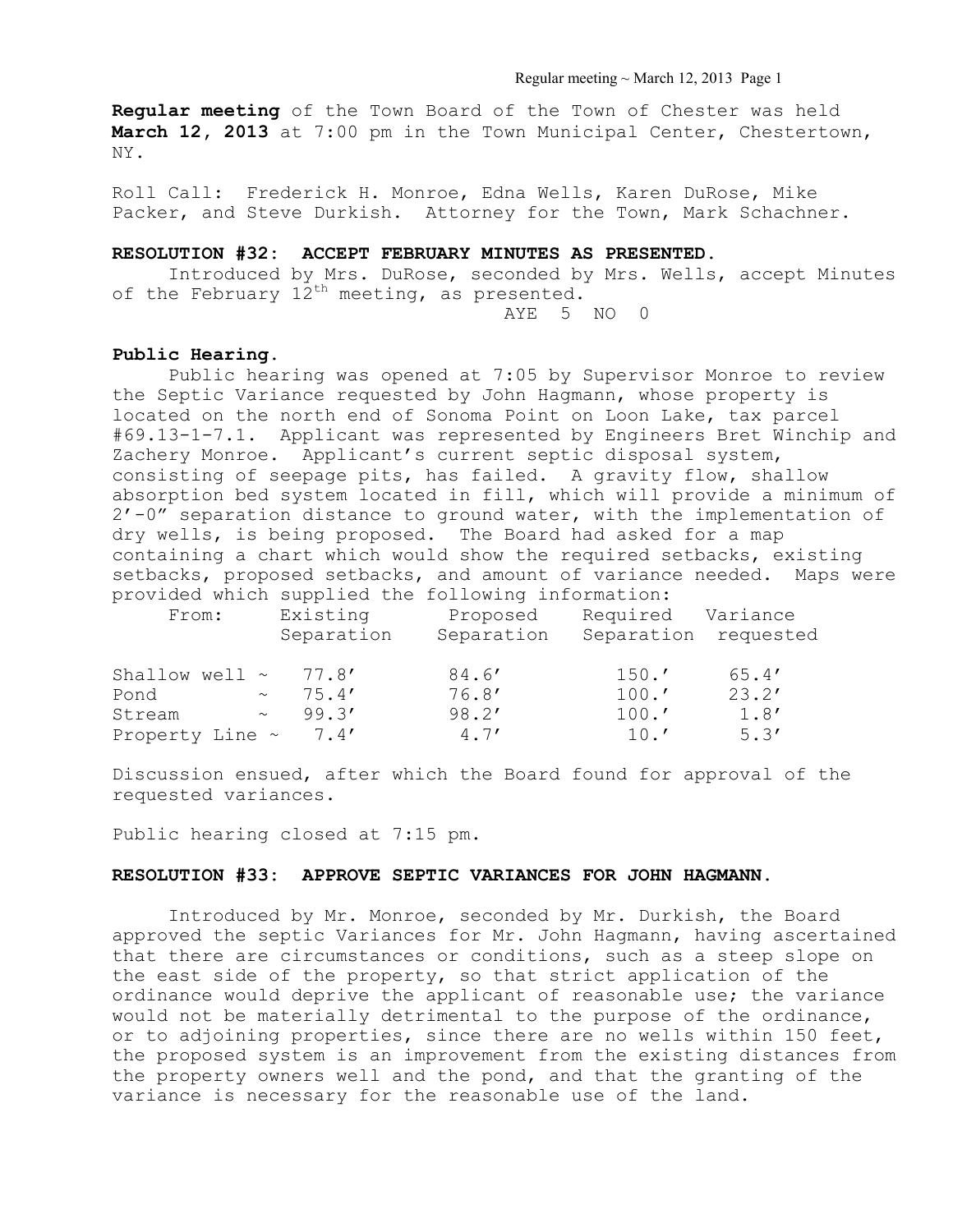### Regular meeting ~ March 12, 2013 Page 1

**Regular meeting** of the Town Board of the Town of Chester was held **March 12, 2013** at 7:00 pm in the Town Municipal Center, Chestertown, NY.

Roll Call: Frederick H. Monroe, Edna Wells, Karen DuRose, Mike Packer, and Steve Durkish. Attorney for the Town, Mark Schachner.

### **RESOLUTION #32: ACCEPT FEBRUARY MINUTES AS PRESENTED.**

Introduced by Mrs. DuRose, seconded by Mrs. Wells, accept Minutes of the February  $12^{th}$  meeting, as presented. AYE 5 NO 0

### **Public Hearing.**

Public hearing was opened at 7:05 by Supervisor Monroe to review the Septic Variance requested by John Hagmann, whose property is located on the north end of Sonoma Point on Loon Lake, tax parcel #69.13-1-7.1. Applicant was represented by Engineers Bret Winchip and Zachery Monroe. Applicant's current septic disposal system, consisting of seepage pits, has failed. A gravity flow, shallow absorption bed system located in fill, which will provide a minimum of 2'-0" separation distance to ground water, with the implementation of dry wells, is being proposed. The Board had asked for a map containing a chart which would show the required setbacks, existing setbacks, proposed setbacks, and amount of variance needed. Maps were provided which supplied the following information:

| From:               | Existing<br>Separation | Proposed<br>Separation | Required<br>Separation | Variance<br>requested |
|---------------------|------------------------|------------------------|------------------------|-----------------------|
| Shallow well $\sim$ | 77.8'                  | 84.6'                  | 150.7                  | 65.4'                 |
| Pond<br>$\sim$      | 75.4'                  | 76.8'                  | 100.7                  | 23.2'                 |
| Stream<br>$\sim$    | 99.3'                  | 98.2'                  | 100.7                  | 1.8'                  |
| Property Line ~     | 7.4'                   | 4.7'                   | 10.7                   | 5.3'                  |

Discussion ensued, after which the Board found for approval of the requested variances.

Public hearing closed at 7:15 pm.

#### **RESOLUTION #33: APPROVE SEPTIC VARIANCES FOR JOHN HAGMANN.**

 Introduced by Mr. Monroe, seconded by Mr. Durkish, the Board approved the septic Variances for Mr. John Hagmann, having ascertained that there are circumstances or conditions, such as a steep slope on the east side of the property, so that strict application of the ordinance would deprive the applicant of reasonable use; the variance would not be materially detrimental to the purpose of the ordinance, or to adjoining properties, since there are no wells within 150 feet, the proposed system is an improvement from the existing distances from the property owners well and the pond, and that the granting of the variance is necessary for the reasonable use of the land.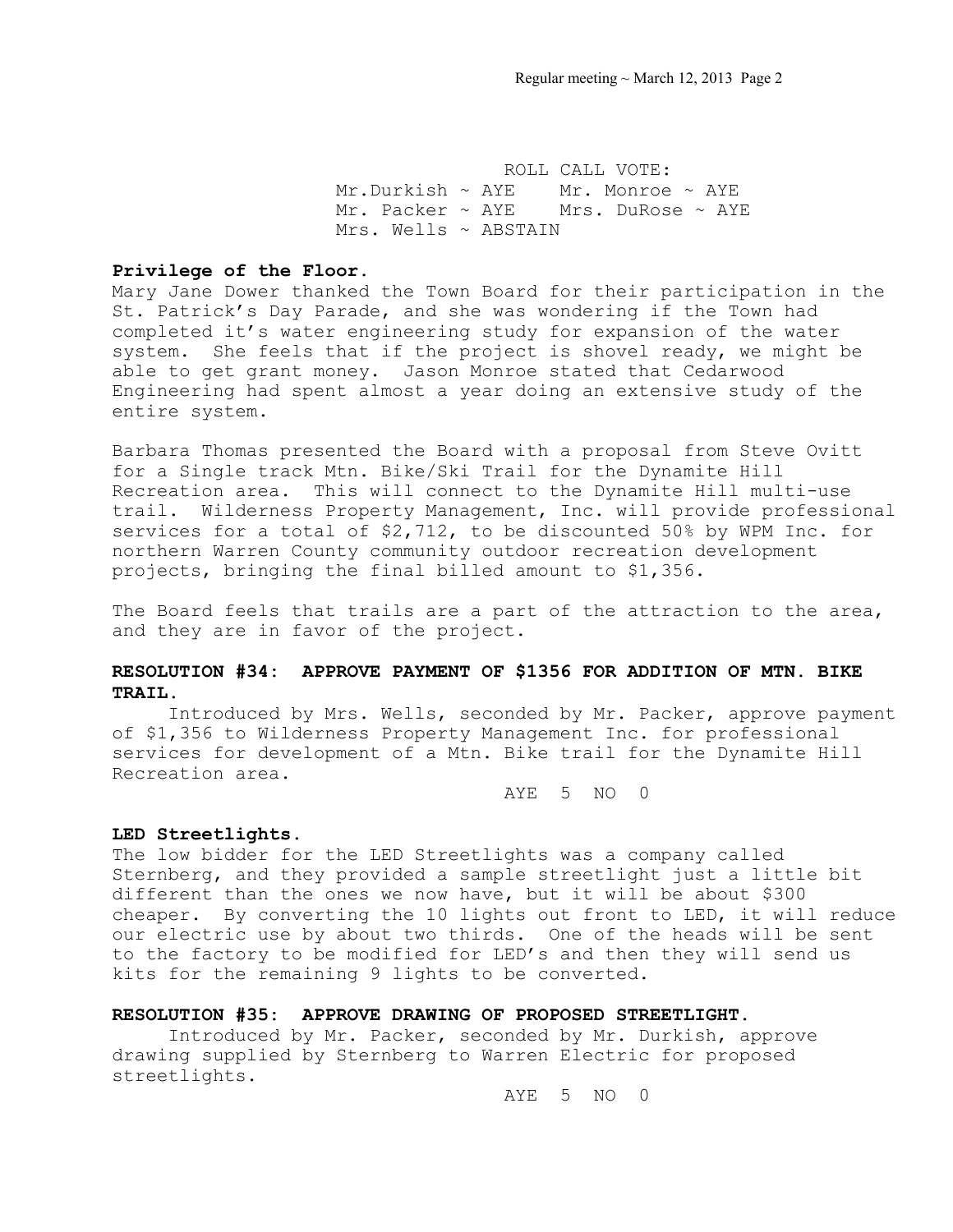ROLL CALL VOTE: Mr.Durkish  $\sim$  AYE Mr. Monroe  $\sim$  AYE Mr. Packer ~ AYE Mrs. DuRose ~ AYE Mrs. Wells ~ ABSTAIN

#### **Privilege of the Floor.**

Mary Jane Dower thanked the Town Board for their participation in the St. Patrick's Day Parade, and she was wondering if the Town had completed it's water engineering study for expansion of the water system. She feels that if the project is shovel ready, we might be able to get grant money. Jason Monroe stated that Cedarwood Engineering had spent almost a year doing an extensive study of the entire system.

Barbara Thomas presented the Board with a proposal from Steve Ovitt for a Single track Mtn. Bike/Ski Trail for the Dynamite Hill Recreation area. This will connect to the Dynamite Hill multi-use trail. Wilderness Property Management, Inc. will provide professional services for a total of \$2,712, to be discounted 50% by WPM Inc. for northern Warren County community outdoor recreation development projects, bringing the final billed amount to \$1,356.

The Board feels that trails are a part of the attraction to the area, and they are in favor of the project.

# **RESOLUTION #34: APPROVE PAYMENT OF \$1356 FOR ADDITION OF MTN. BIKE TRAIL.**

Introduced by Mrs. Wells, seconded by Mr. Packer, approve payment of \$1,356 to Wilderness Property Management Inc. for professional services for development of a Mtn. Bike trail for the Dynamite Hill Recreation area.

AYE 5 NO 0

### **LED Streetlights.**

The low bidder for the LED Streetlights was a company called Sternberg, and they provided a sample streetlight just a little bit different than the ones we now have, but it will be about \$300 cheaper. By converting the 10 lights out front to LED, it will reduce our electric use by about two thirds. One of the heads will be sent to the factory to be modified for LED's and then they will send us kits for the remaining 9 lights to be converted.

### **RESOLUTION #35: APPROVE DRAWING OF PROPOSED STREETLIGHT.**

Introduced by Mr. Packer, seconded by Mr. Durkish, approve drawing supplied by Sternberg to Warren Electric for proposed streetlights.

AYE 5 NO 0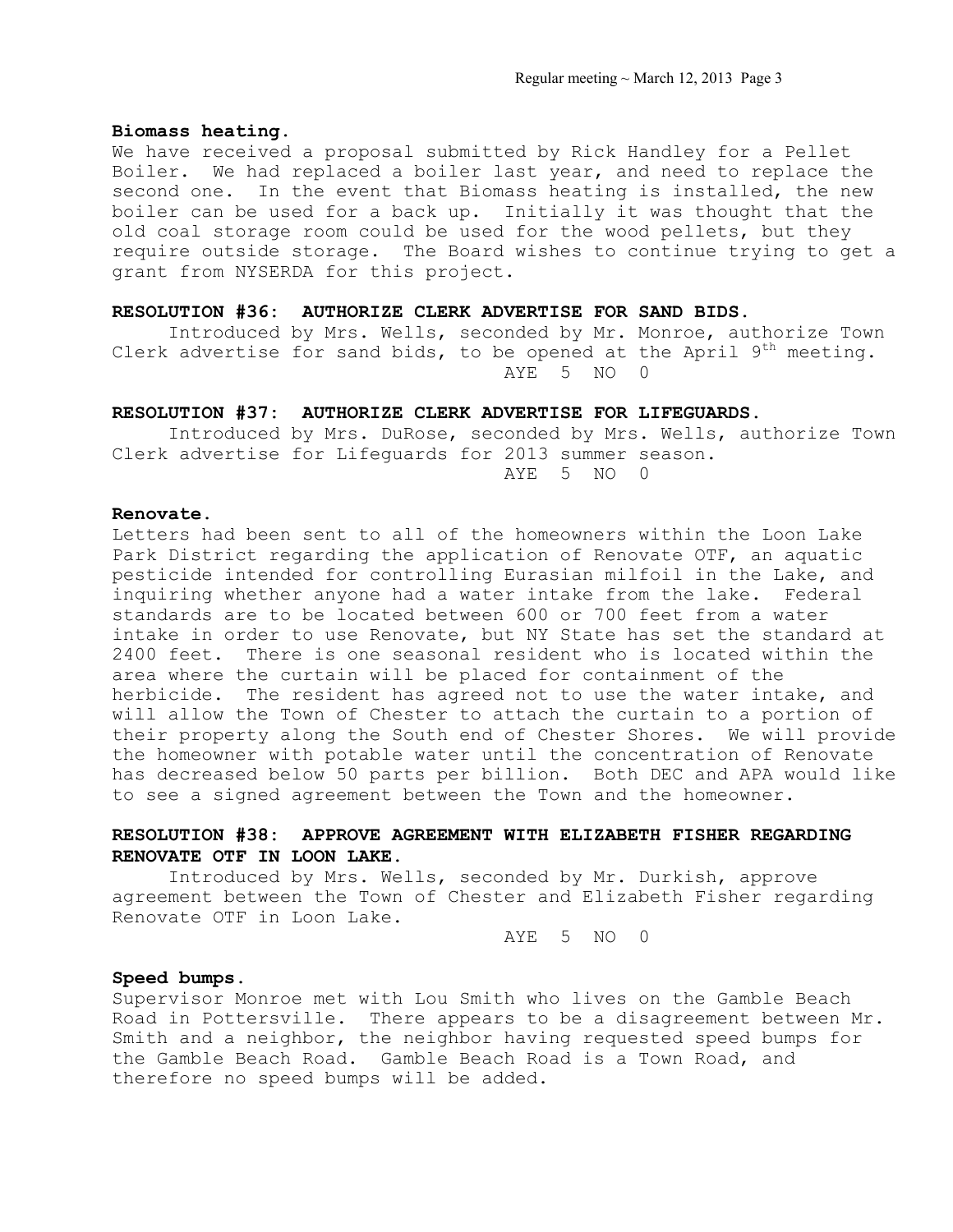#### **Biomass heating.**

We have received a proposal submitted by Rick Handley for a Pellet Boiler. We had replaced a boiler last year, and need to replace the second one. In the event that Biomass heating is installed, the new boiler can be used for a back up. Initially it was thought that the old coal storage room could be used for the wood pellets, but they require outside storage. The Board wishes to continue trying to get a grant from NYSERDA for this project.

## **RESOLUTION #36: AUTHORIZE CLERK ADVERTISE FOR SAND BIDS.**

Introduced by Mrs. Wells, seconded by Mr. Monroe, authorize Town Clerk advertise for sand bids, to be opened at the April  $9<sup>th</sup>$  meeting. AYE 5 NO 0

## **RESOLUTION #37: AUTHORIZE CLERK ADVERTISE FOR LIFEGUARDS.**

Introduced by Mrs. DuRose, seconded by Mrs. Wells, authorize Town Clerk advertise for Lifeguards for 2013 summer season. AYE 5 NO 0

### **Renovate.**

Letters had been sent to all of the homeowners within the Loon Lake Park District regarding the application of Renovate OTF, an aquatic pesticide intended for controlling Eurasian milfoil in the Lake, and inquiring whether anyone had a water intake from the lake. Federal standards are to be located between 600 or 700 feet from a water intake in order to use Renovate, but NY State has set the standard at 2400 feet. There is one seasonal resident who is located within the area where the curtain will be placed for containment of the herbicide. The resident has agreed not to use the water intake, and will allow the Town of Chester to attach the curtain to a portion of their property along the South end of Chester Shores. We will provide the homeowner with potable water until the concentration of Renovate has decreased below 50 parts per billion. Both DEC and APA would like to see a signed agreement between the Town and the homeowner.

# **RESOLUTION #38: APPROVE AGREEMENT WITH ELIZABETH FISHER REGARDING RENOVATE OTF IN LOON LAKE.**

 Introduced by Mrs. Wells, seconded by Mr. Durkish, approve agreement between the Town of Chester and Elizabeth Fisher regarding Renovate OTF in Loon Lake.

AYE 5 NO 0

## **Speed bumps.**

Supervisor Monroe met with Lou Smith who lives on the Gamble Beach Road in Pottersville. There appears to be a disagreement between Mr. Smith and a neighbor, the neighbor having requested speed bumps for the Gamble Beach Road. Gamble Beach Road is a Town Road, and therefore no speed bumps will be added.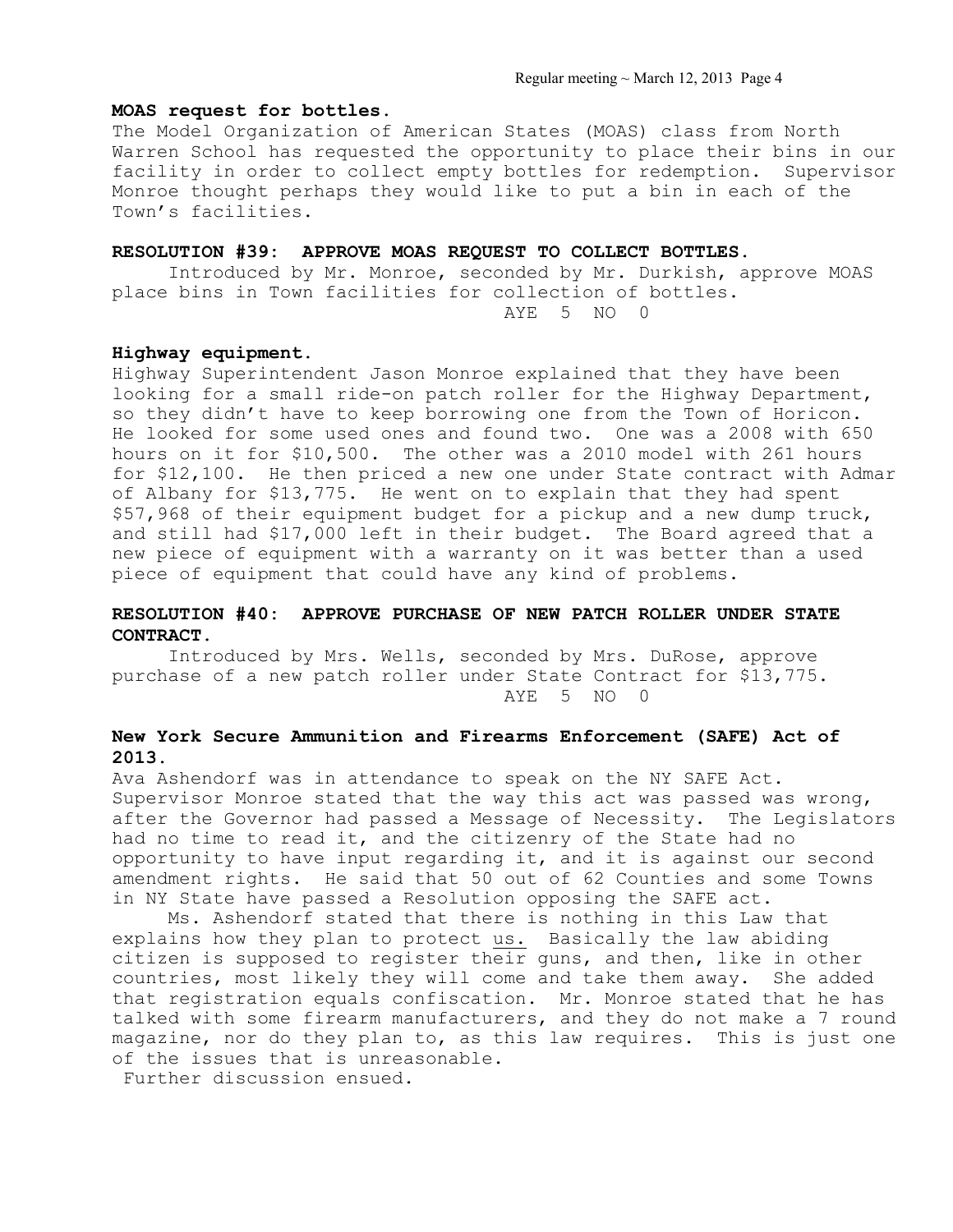## **MOAS request for bottles.**

The Model Organization of American States (MOAS) class from North Warren School has requested the opportunity to place their bins in our facility in order to collect empty bottles for redemption. Supervisor Monroe thought perhaps they would like to put a bin in each of the Town's facilities.

## **RESOLUTION #39: APPROVE MOAS REQUEST TO COLLECT BOTTLES.**

 Introduced by Mr. Monroe, seconded by Mr. Durkish, approve MOAS place bins in Town facilities for collection of bottles.

AYE 5 NO 0

## **Highway equipment.**

Highway Superintendent Jason Monroe explained that they have been looking for a small ride-on patch roller for the Highway Department, so they didn't have to keep borrowing one from the Town of Horicon. He looked for some used ones and found two. One was a 2008 with 650 hours on it for \$10,500. The other was a 2010 model with 261 hours for \$12,100. He then priced a new one under State contract with Admar of Albany for \$13,775. He went on to explain that they had spent \$57,968 of their equipment budget for a pickup and a new dump truck, and still had \$17,000 left in their budget. The Board agreed that a new piece of equipment with a warranty on it was better than a used piece of equipment that could have any kind of problems.

## **RESOLUTION #40: APPROVE PURCHASE OF NEW PATCH ROLLER UNDER STATE CONTRACT.**

 Introduced by Mrs. Wells, seconded by Mrs. DuRose, approve purchase of a new patch roller under State Contract for \$13,775. AYE 5 NO 0

## **New York Secure Ammunition and Firearms Enforcement (SAFE) Act of 2013.**

Ava Ashendorf was in attendance to speak on the NY SAFE Act. Supervisor Monroe stated that the way this act was passed was wrong, after the Governor had passed a Message of Necessity. The Legislators had no time to read it, and the citizenry of the State had no opportunity to have input regarding it, and it is against our second amendment rights. He said that 50 out of 62 Counties and some Towns in NY State have passed a Resolution opposing the SAFE act.

 Ms. Ashendorf stated that there is nothing in this Law that explains how they plan to protect us. Basically the law abiding citizen is supposed to register their guns, and then, like in other countries, most likely they will come and take them away. She added that registration equals confiscation. Mr. Monroe stated that he has talked with some firearm manufacturers, and they do not make a 7 round magazine, nor do they plan to, as this law requires. This is just one of the issues that is unreasonable.

Further discussion ensued.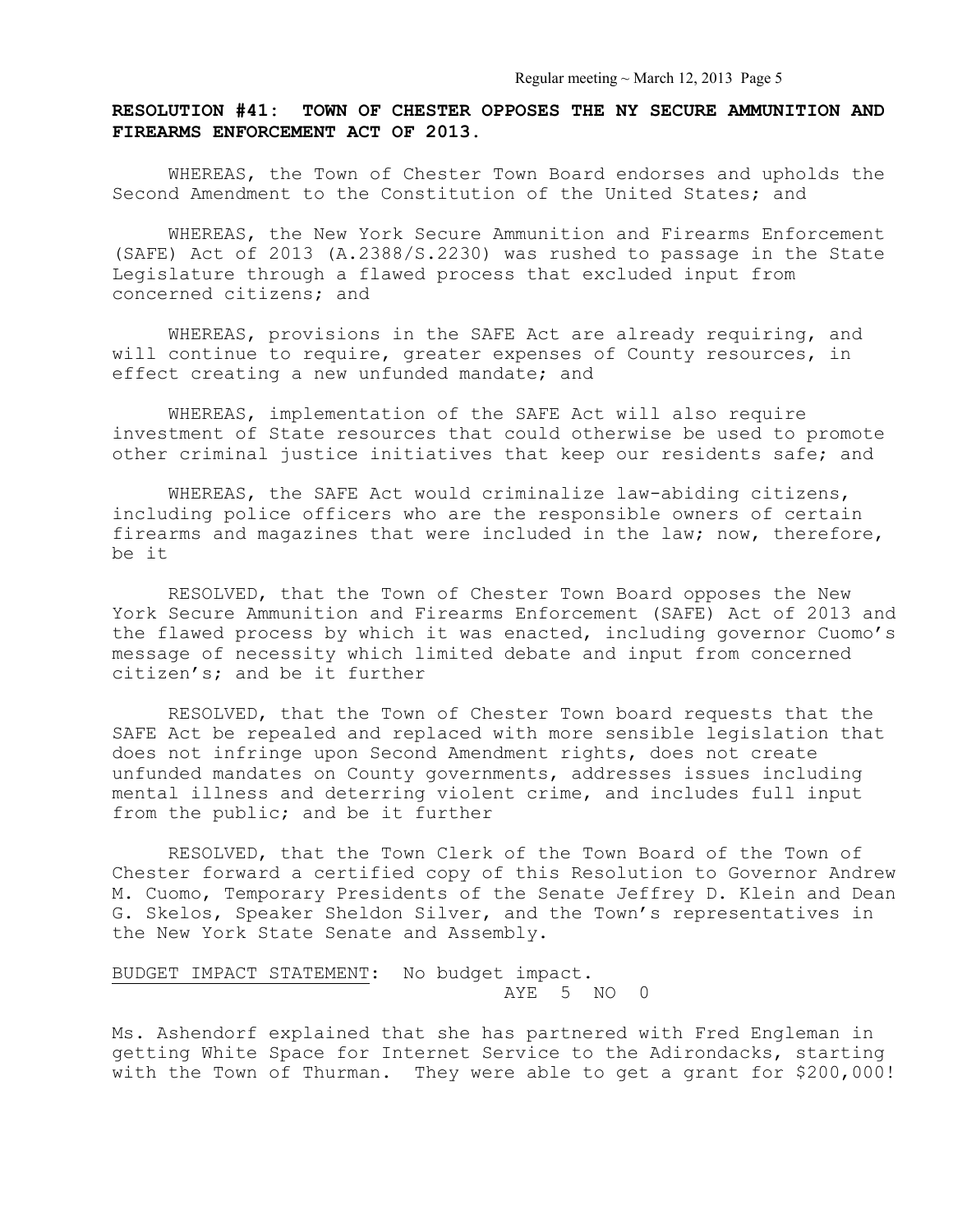# **RESOLUTION #41: TOWN OF CHESTER OPPOSES THE NY SECURE AMMUNITION AND FIREARMS ENFORCEMENT ACT OF 2013.**

WHEREAS, the Town of Chester Town Board endorses and upholds the Second Amendment to the Constitution of the United States; and

 WHEREAS, the New York Secure Ammunition and Firearms Enforcement (SAFE) Act of 2013 (A.2388/S.2230) was rushed to passage in the State Legislature through a flawed process that excluded input from concerned citizens; and

 WHEREAS, provisions in the SAFE Act are already requiring, and will continue to require, greater expenses of County resources, in effect creating a new unfunded mandate; and

 WHEREAS, implementation of the SAFE Act will also require investment of State resources that could otherwise be used to promote other criminal justice initiatives that keep our residents safe; and

 WHEREAS, the SAFE Act would criminalize law-abiding citizens, including police officers who are the responsible owners of certain firearms and magazines that were included in the law; now, therefore, be it

 RESOLVED, that the Town of Chester Town Board opposes the New York Secure Ammunition and Firearms Enforcement (SAFE) Act of 2013 and the flawed process by which it was enacted, including governor Cuomo's message of necessity which limited debate and input from concerned citizen's; and be it further

 RESOLVED, that the Town of Chester Town board requests that the SAFE Act be repealed and replaced with more sensible legislation that does not infringe upon Second Amendment rights, does not create unfunded mandates on County governments, addresses issues including mental illness and deterring violent crime, and includes full input from the public; and be it further

 RESOLVED, that the Town Clerk of the Town Board of the Town of Chester forward a certified copy of this Resolution to Governor Andrew M. Cuomo, Temporary Presidents of the Senate Jeffrey D. Klein and Dean G. Skelos, Speaker Sheldon Silver, and the Town's representatives in the New York State Senate and Assembly.

# BUDGET IMPACT STATEMENT: No budget impact. AYE 5 NO 0

Ms. Ashendorf explained that she has partnered with Fred Engleman in getting White Space for Internet Service to the Adirondacks, starting with the Town of Thurman. They were able to get a grant for \$200,000!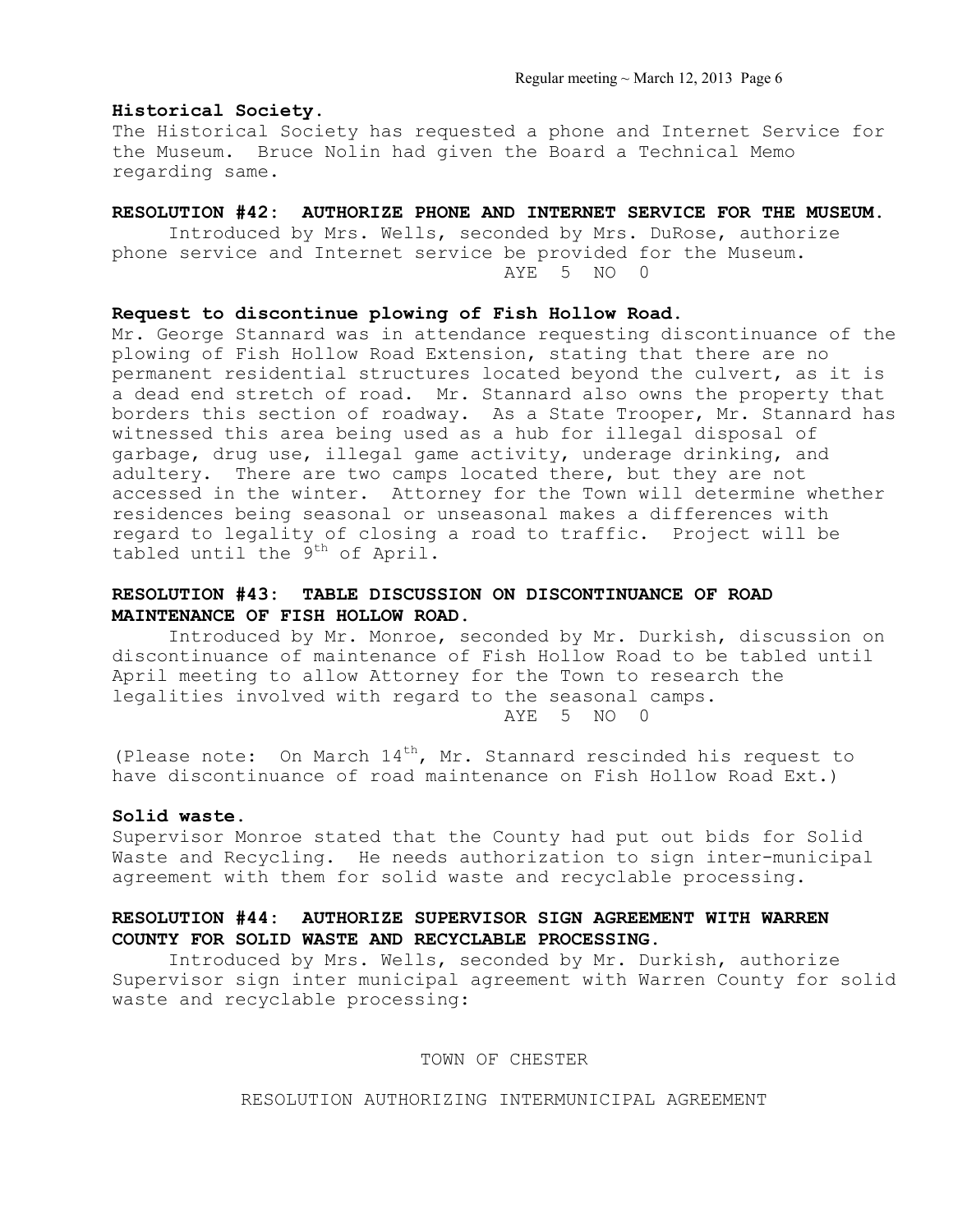Regular meeting  $\sim$  March 12, 2013 Page 6

### **Historical Society.**

The Historical Society has requested a phone and Internet Service for the Museum. Bruce Nolin had given the Board a Technical Memo regarding same.

### **RESOLUTION #42: AUTHORIZE PHONE AND INTERNET SERVICE FOR THE MUSEUM.**

Introduced by Mrs. Wells, seconded by Mrs. DuRose, authorize phone service and Internet service be provided for the Museum. AYE 5 NO 0

## **Request to discontinue plowing of Fish Hollow Road.**

Mr. George Stannard was in attendance requesting discontinuance of the plowing of Fish Hollow Road Extension, stating that there are no permanent residential structures located beyond the culvert, as it is a dead end stretch of road. Mr. Stannard also owns the property that borders this section of roadway. As a State Trooper, Mr. Stannard has witnessed this area being used as a hub for illegal disposal of garbage, drug use, illegal game activity, underage drinking, and adultery. There are two camps located there, but they are not accessed in the winter. Attorney for the Town will determine whether residences being seasonal or unseasonal makes a differences with regard to legality of closing a road to traffic. Project will be tabled until the  $9^{th}$  of April.

# **RESOLUTION #43: TABLE DISCUSSION ON DISCONTINUANCE OF ROAD MAINTENANCE OF FISH HOLLOW ROAD.**

Introduced by Mr. Monroe, seconded by Mr. Durkish, discussion on discontinuance of maintenance of Fish Hollow Road to be tabled until April meeting to allow Attorney for the Town to research the legalities involved with regard to the seasonal camps. AYE 5 NO 0

(Please note: On March  $14^{th}$ , Mr. Stannard rescinded his request to have discontinuance of road maintenance on Fish Hollow Road Ext.)

### **Solid waste.**

Supervisor Monroe stated that the County had put out bids for Solid Waste and Recycling. He needs authorization to sign inter-municipal agreement with them for solid waste and recyclable processing.

# **RESOLUTION #44: AUTHORIZE SUPERVISOR SIGN AGREEMENT WITH WARREN COUNTY FOR SOLID WASTE AND RECYCLABLE PROCESSING.**

Introduced by Mrs. Wells, seconded by Mr. Durkish, authorize Supervisor sign inter municipal agreement with Warren County for solid waste and recyclable processing:

### TOWN OF CHESTER

RESOLUTION AUTHORIZING INTERMUNICIPAL AGREEMENT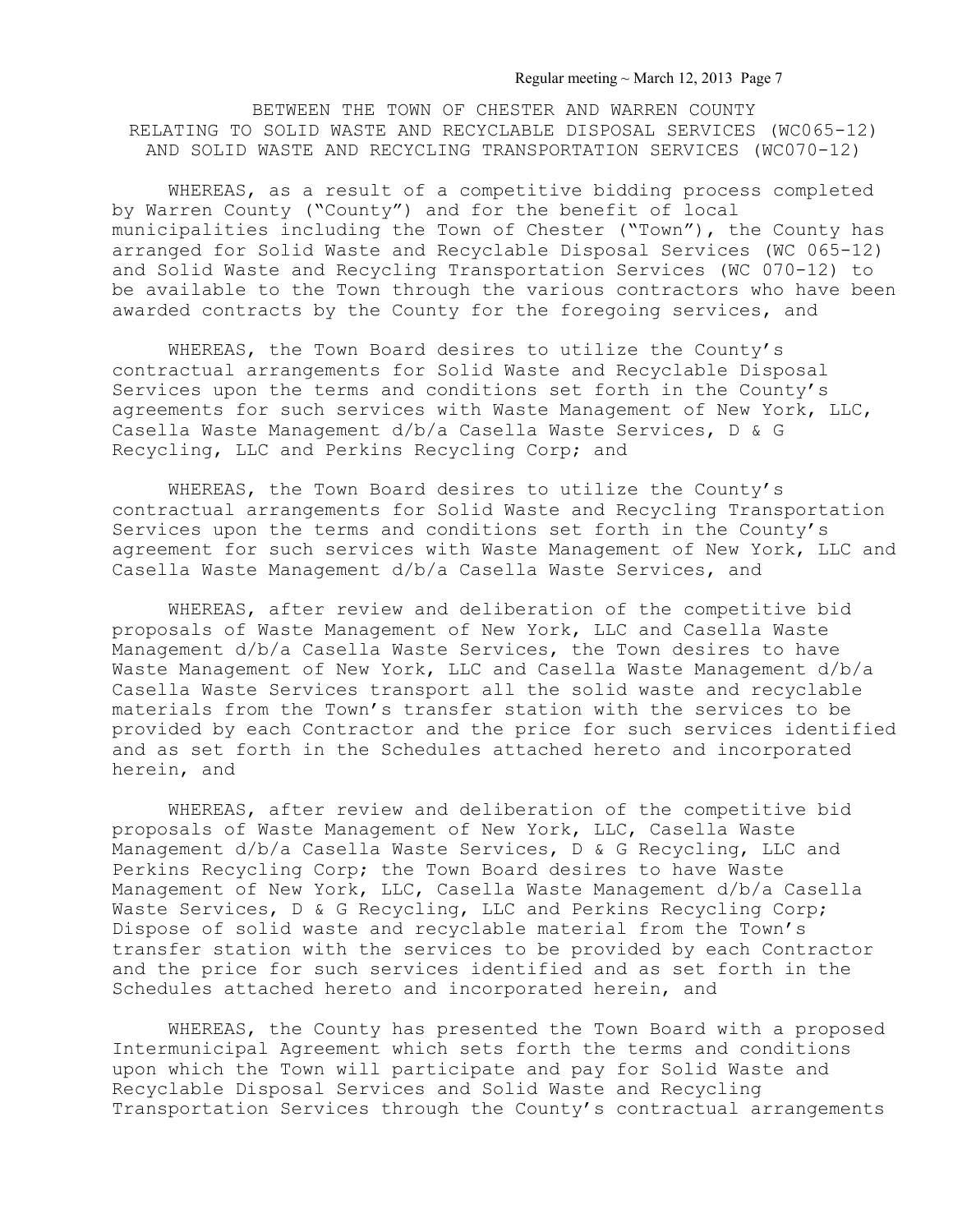Regular meeting ~ March 12, 2013 Page 7

BETWEEN THE TOWN OF CHESTER AND WARREN COUNTY RELATING TO SOLID WASTE AND RECYCLABLE DISPOSAL SERVICES (WC065-12) AND SOLID WASTE AND RECYCLING TRANSPORTATION SERVICES (WC070-12)

 WHEREAS, as a result of a competitive bidding process completed by Warren County ("County") and for the benefit of local municipalities including the Town of Chester ("Town"), the County has arranged for Solid Waste and Recyclable Disposal Services (WC 065-12) and Solid Waste and Recycling Transportation Services (WC 070-12) to be available to the Town through the various contractors who have been awarded contracts by the County for the foregoing services, and

 WHEREAS, the Town Board desires to utilize the County's contractual arrangements for Solid Waste and Recyclable Disposal Services upon the terms and conditions set forth in the County's agreements for such services with Waste Management of New York, LLC, Casella Waste Management d/b/a Casella Waste Services, D & G Recycling, LLC and Perkins Recycling Corp; and

 WHEREAS, the Town Board desires to utilize the County's contractual arrangements for Solid Waste and Recycling Transportation Services upon the terms and conditions set forth in the County's agreement for such services with Waste Management of New York, LLC and Casella Waste Management d/b/a Casella Waste Services, and

 WHEREAS, after review and deliberation of the competitive bid proposals of Waste Management of New York, LLC and Casella Waste Management d/b/a Casella Waste Services, the Town desires to have Waste Management of New York, LLC and Casella Waste Management d/b/a Casella Waste Services transport all the solid waste and recyclable materials from the Town's transfer station with the services to be provided by each Contractor and the price for such services identified and as set forth in the Schedules attached hereto and incorporated herein, and

 WHEREAS, after review and deliberation of the competitive bid proposals of Waste Management of New York, LLC, Casella Waste Management d/b/a Casella Waste Services, D & G Recycling, LLC and Perkins Recycling Corp; the Town Board desires to have Waste Management of New York, LLC, Casella Waste Management d/b/a Casella Waste Services, D & G Recycling, LLC and Perkins Recycling Corp; Dispose of solid waste and recyclable material from the Town's transfer station with the services to be provided by each Contractor and the price for such services identified and as set forth in the Schedules attached hereto and incorporated herein, and

 WHEREAS, the County has presented the Town Board with a proposed Intermunicipal Agreement which sets forth the terms and conditions upon which the Town will participate and pay for Solid Waste and Recyclable Disposal Services and Solid Waste and Recycling Transportation Services through the County's contractual arrangements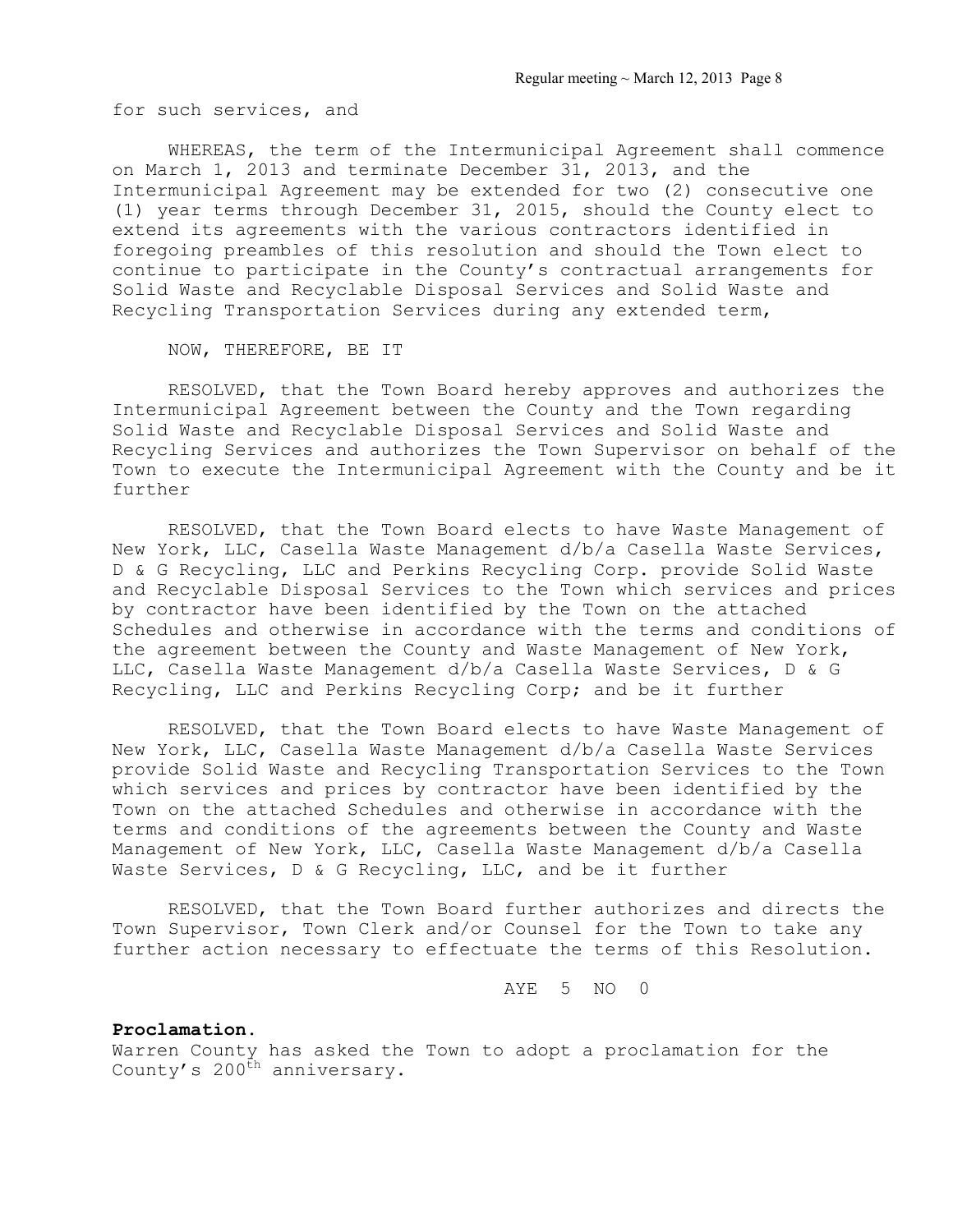for such services, and

 WHEREAS, the term of the Intermunicipal Agreement shall commence on March 1, 2013 and terminate December 31, 2013, and the Intermunicipal Agreement may be extended for two (2) consecutive one (1) year terms through December 31, 2015, should the County elect to extend its agreements with the various contractors identified in foregoing preambles of this resolution and should the Town elect to continue to participate in the County's contractual arrangements for Solid Waste and Recyclable Disposal Services and Solid Waste and Recycling Transportation Services during any extended term,

## NOW, THEREFORE, BE IT

 RESOLVED, that the Town Board hereby approves and authorizes the Intermunicipal Agreement between the County and the Town regarding Solid Waste and Recyclable Disposal Services and Solid Waste and Recycling Services and authorizes the Town Supervisor on behalf of the Town to execute the Intermunicipal Agreement with the County and be it further

 RESOLVED, that the Town Board elects to have Waste Management of New York, LLC, Casella Waste Management d/b/a Casella Waste Services, D & G Recycling, LLC and Perkins Recycling Corp. provide Solid Waste and Recyclable Disposal Services to the Town which services and prices by contractor have been identified by the Town on the attached Schedules and otherwise in accordance with the terms and conditions of the agreement between the County and Waste Management of New York, LLC, Casella Waste Management d/b/a Casella Waste Services, D & G Recycling, LLC and Perkins Recycling Corp; and be it further

 RESOLVED, that the Town Board elects to have Waste Management of New York, LLC, Casella Waste Management d/b/a Casella Waste Services provide Solid Waste and Recycling Transportation Services to the Town which services and prices by contractor have been identified by the Town on the attached Schedules and otherwise in accordance with the terms and conditions of the agreements between the County and Waste Management of New York, LLC, Casella Waste Management d/b/a Casella Waste Services, D & G Recycling, LLC, and be it further

 RESOLVED, that the Town Board further authorizes and directs the Town Supervisor, Town Clerk and/or Counsel for the Town to take any further action necessary to effectuate the terms of this Resolution.

AYE 5 NO 0

## **Proclamation.**

Warren County has asked the Town to adopt a proclamation for the County's 200<sup>th</sup> anniversary.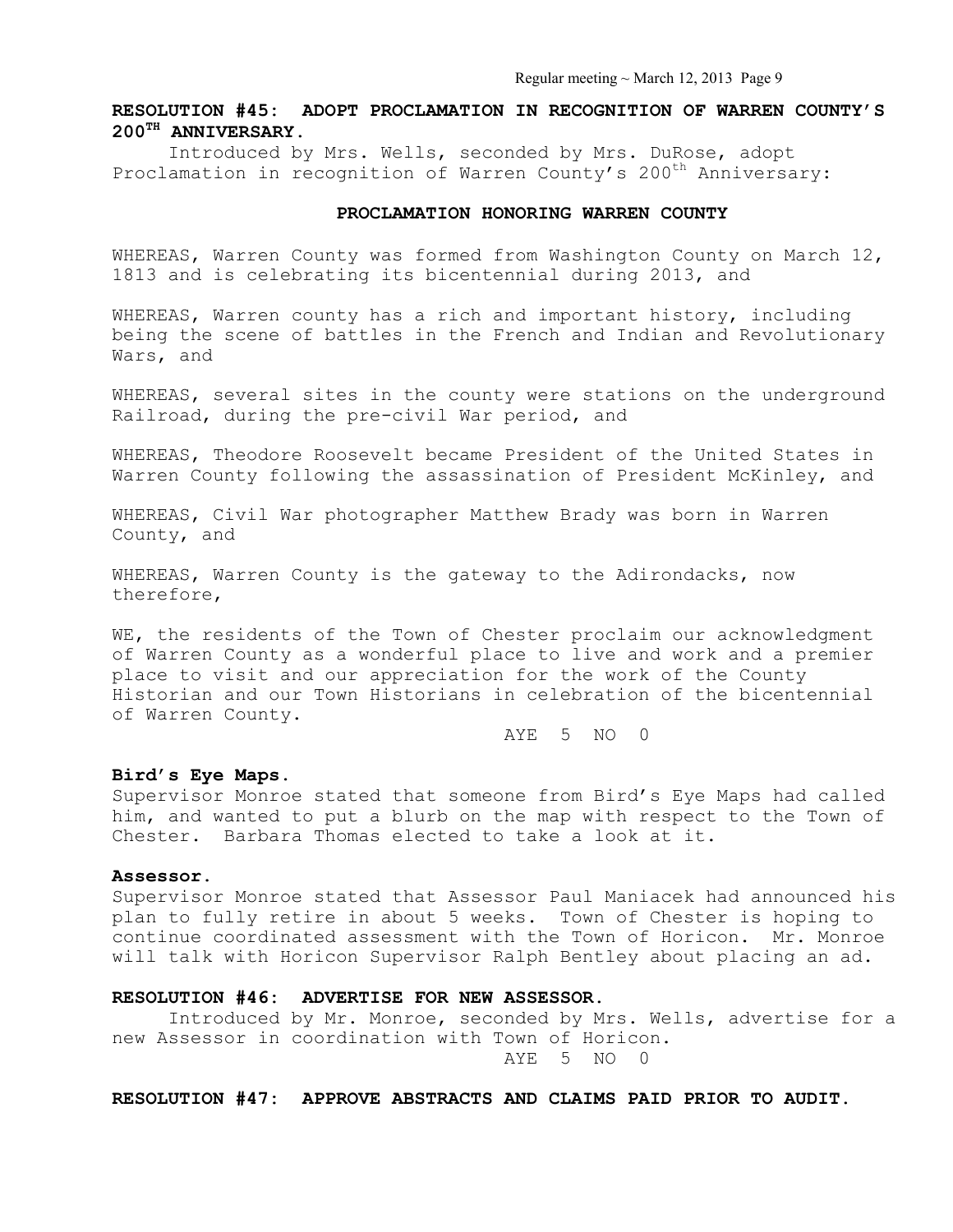# **RESOLUTION #45: ADOPT PROCLAMATION IN RECOGNITION OF WARREN COUNTY'S 200TH ANNIVERSARY.**

Introduced by Mrs. Wells, seconded by Mrs. DuRose, adopt Proclamation in recognition of Warren County's 200<sup>th</sup> Anniversary:

#### **PROCLAMATION HONORING WARREN COUNTY**

WHEREAS, Warren County was formed from Washington County on March 12, 1813 and is celebrating its bicentennial during 2013, and

WHEREAS, Warren county has a rich and important history, including being the scene of battles in the French and Indian and Revolutionary Wars, and

WHEREAS, several sites in the county were stations on the underground Railroad, during the pre-civil War period, and

WHEREAS, Theodore Roosevelt became President of the United States in Warren County following the assassination of President McKinley, and

WHEREAS, Civil War photographer Matthew Brady was born in Warren County, and

WHEREAS, Warren County is the gateway to the Adirondacks, now therefore,

WE, the residents of the Town of Chester proclaim our acknowledgment of Warren County as a wonderful place to live and work and a premier place to visit and our appreciation for the work of the County Historian and our Town Historians in celebration of the bicentennial of Warren County.

AYE 5 NO 0

### **Bird's Eye Maps.**

Supervisor Monroe stated that someone from Bird's Eye Maps had called him, and wanted to put a blurb on the map with respect to the Town of Chester. Barbara Thomas elected to take a look at it.

#### **Assessor.**

Supervisor Monroe stated that Assessor Paul Maniacek had announced his plan to fully retire in about 5 weeks. Town of Chester is hoping to continue coordinated assessment with the Town of Horicon. Mr. Monroe will talk with Horicon Supervisor Ralph Bentley about placing an ad.

#### **RESOLUTION #46: ADVERTISE FOR NEW ASSESSOR.**

 Introduced by Mr. Monroe, seconded by Mrs. Wells, advertise for a new Assessor in coordination with Town of Horicon. AYE 5 NO 0

**RESOLUTION #47: APPROVE ABSTRACTS AND CLAIMS PAID PRIOR TO AUDIT.**